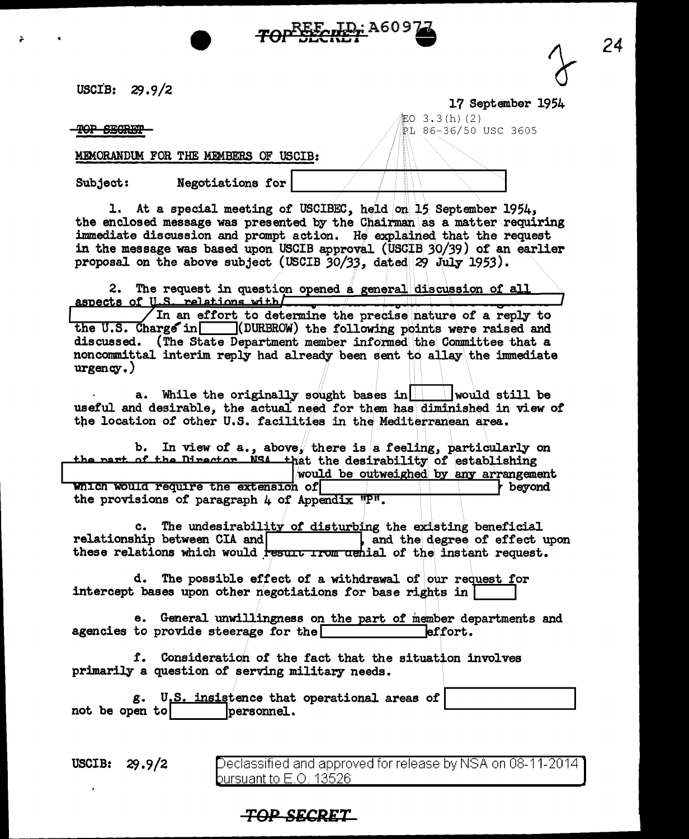usctB: 29. 9 /2

TOP SECRET

MEMORANDUM FOR THE MEMBERS OF USCIB:

Subject: Negotiations for

l. At a special meeting of USCIBEC, held on 15 September 1954, the enclosed message was presented by the Chairman as a matter requiring immediate discussion and prompt action. He explained that the request in the message was based upon USCIB approval (USCIB 30/39) of an earlier proposal on the above subject (USCIB 30/33, dated 29 July 1953).

2. The request in question opened a general discussion of all aspects of U.S. relations with  $\sqrt{2}$ 

In an effort to determine the precise nature of a reply to the U.S. Charge in  $\Box$  (DURBROW) the following points were raised and discussed. (The State Department member informed the Committee that a noncommittal interim reply had already been sent to allay the immediate urgency.)

a. While the originally sought bases in  $\vert$  would still be useful and desirable, the actual need for them has diminished in view of the location of other U.S. facilities in the Mediterranean area.

b. In view of a., above, there is a feeling, particularly on the nart of the Director NSA that the desirability of establishing<br>would be outweighed by any arrangement<br>beyond the provisions of paragraph  $\mu$  of Appendix "P".

relationship between CIA and **Landr L** and the degree of effect upon c. The undesirability of disturbing the existing beneficial these relations which would resur<del>e from achial</del> of the instant request.

d. The possible effect of a withdrawal of our request for 1 intercept bases upon other negotiations for base rights in

e. General unwillingness on the part of member departments and to provide steerage for the agencies to provide steerage for the  $\Box$ 

f. Consideration of the fact that the situation involves primarily a question of serving military needs.

g. U.S. insistence that operational areas of **I was absorbed to all of the set of the set of the set of the set of the set of the set of the set of the set of the set of the set of the set of the set of the set of the set** 

USCIB: 29.9/2 Declassified and approved for release by NSA on 08-11-2014 bursuant to  $\mathsf{E}.\mathsf{O}$ . 13526 .

## **TOP SECRET**

17 September 1954

 $E_0$  3.3(h)(2) /PL 86-36/50 USC 3605



*24*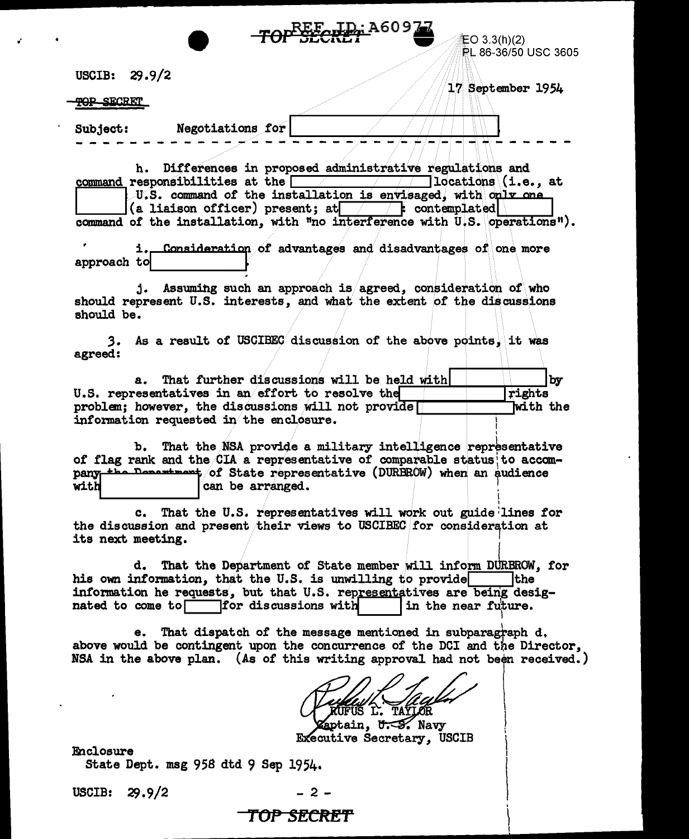|                                                    | REE ID: A609                                                                                                                                               |                                             |
|----------------------------------------------------|------------------------------------------------------------------------------------------------------------------------------------------------------------|---------------------------------------------|
|                                                    |                                                                                                                                                            | <b>上〇 3.3(h)(2)</b><br>PL 86-36/50 USC 3605 |
|                                                    |                                                                                                                                                            |                                             |
| USCIB: 29.9/2                                      |                                                                                                                                                            |                                             |
| <b>TOP SECRET</b>                                  |                                                                                                                                                            | 17 September 1954                           |
|                                                    |                                                                                                                                                            |                                             |
| Negotiations for<br><b>Subject:</b>                |                                                                                                                                                            |                                             |
|                                                    |                                                                                                                                                            |                                             |
|                                                    | h. Differences in proposed administrative regulations and                                                                                                  |                                             |
|                                                    | <u>command</u> responsibilities at the $\sqrt{1 -  1 }$ locations (i.e., at                                                                                |                                             |
|                                                    | U.S. command of the installation is envisaged, with oulv one<br>(a liaison officer) present; at $\Box$ contemplated                                        |                                             |
|                                                    | command of the installation, with "no interference with U.S. operations").                                                                                 |                                             |
|                                                    |                                                                                                                                                            |                                             |
| i.                                                 | Consideration of advantages and disadvantages of one more                                                                                                  |                                             |
| approach to                                        |                                                                                                                                                            |                                             |
|                                                    | j. Assuming such an approach is agreed, consideration of who                                                                                               |                                             |
|                                                    | should represent U.S. interests, and what the extent of the discussions                                                                                    |                                             |
| should be.                                         |                                                                                                                                                            |                                             |
|                                                    | 3. As a result of USCIBEC discussion of the above points, it was                                                                                           |                                             |
| agreed:                                            |                                                                                                                                                            |                                             |
|                                                    | a. That further discussions will be held with                                                                                                              | by                                          |
| U.S. representatives in an effort to resolve the   |                                                                                                                                                            | rights                                      |
| problem; however, the discussions will not provide |                                                                                                                                                            | with the                                    |
| information requested in the enclosure.            |                                                                                                                                                            |                                             |
|                                                    | b. That the NSA provide a military intelligence representative                                                                                             |                                             |
|                                                    | of flag rank and the CIA a representative of comparable status to accom-                                                                                   |                                             |
| with<br>can be arranged.                           | pany the Department of State representative (DURBROW) when an audience                                                                                     |                                             |
|                                                    |                                                                                                                                                            |                                             |
|                                                    | c. That the U.S. representatives will work out guide lines for                                                                                             |                                             |
|                                                    | the discussion and present their views to USCIBEC for consideration at                                                                                     |                                             |
| its next meeting.                                  |                                                                                                                                                            |                                             |
| d.                                                 | That the Department of State member will inform DURBROW, for                                                                                               |                                             |
|                                                    | his own information, that the U.S. is unwilling to provide                                                                                                 | <b>the</b>                                  |
| nated to come to for discussions with              | information he requests, but that U.S. representatives are being desig-<br>in the near future.                                                             |                                             |
|                                                    |                                                                                                                                                            |                                             |
| е.                                                 | That dispatch of the message mentioned in subparagraph d.                                                                                                  |                                             |
|                                                    | above would be contingent upon the concurrence of the DCI and the Director,<br>NSA in the above plan. (As of this writing approval had not been received.) |                                             |
|                                                    |                                                                                                                                                            |                                             |
|                                                    |                                                                                                                                                            |                                             |
|                                                    | FUS L. TAYLOR                                                                                                                                              |                                             |
|                                                    | <b>Zaptain, U.S. Navy</b>                                                                                                                                  |                                             |
|                                                    | <b>Executive Secretary, USCIB</b>                                                                                                                          |                                             |
| Enclosure<br>State Dept. msg 958 dtd 9 Sep 1954.   |                                                                                                                                                            |                                             |
|                                                    |                                                                                                                                                            |                                             |

 $\bullet$ 

USCIB: 29.9/2

 $\sim 10^{-10}$  e

 $\vec{r}$ 

 $-2-$ 

## TOP SECRET